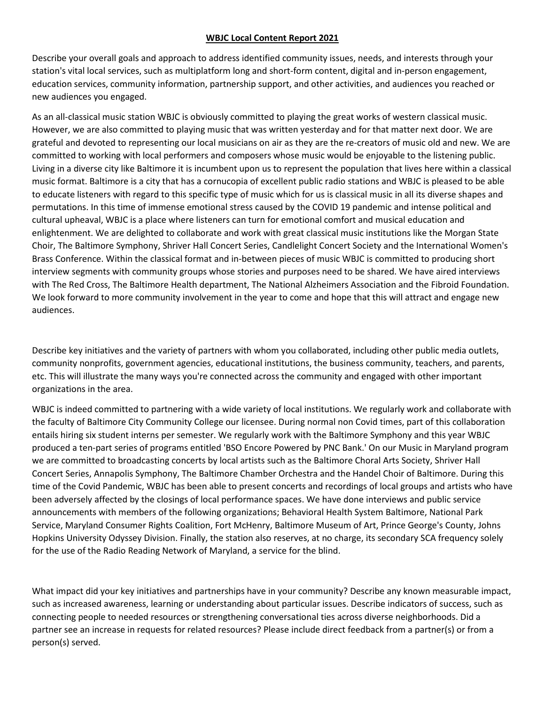## **WBJC Local Content Report 2021**

Describe your overall goals and approach to address identified community issues, needs, and interests through your station's vital local services, such as multiplatform long and short-form content, digital and in-person engagement, education services, community information, partnership support, and other activities, and audiences you reached or new audiences you engaged.

As an all-classical music station WBJC is obviously committed to playing the great works of western classical music. However, we are also committed to playing music that was written yesterday and for that matter next door. We are grateful and devoted to representing our local musicians on air as they are the re-creators of music old and new. We are committed to working with local performers and composers whose music would be enjoyable to the listening public. Living in a diverse city like Baltimore it is incumbent upon us to represent the population that lives here within a classical music format. Baltimore is a city that has a cornucopia of excellent public radio stations and WBJC is pleased to be able to educate listeners with regard to this specific type of music which for us is classical music in all its diverse shapes and permutations. In this time of immense emotional stress caused by the COVID 19 pandemic and intense political and cultural upheaval, WBJC is a place where listeners can turn for emotional comfort and musical education and enlightenment. We are delighted to collaborate and work with great classical music institutions like the Morgan State Choir, The Baltimore Symphony, Shriver Hall Concert Series, Candlelight Concert Society and the International Women's Brass Conference. Within the classical format and in-between pieces of music WBJC is committed to producing short interview segments with community groups whose stories and purposes need to be shared. We have aired interviews with The Red Cross, The Baltimore Health department, The National Alzheimers Association and the Fibroid Foundation. We look forward to more community involvement in the year to come and hope that this will attract and engage new audiences.

Describe key initiatives and the variety of partners with whom you collaborated, including other public media outlets, community nonprofits, government agencies, educational institutions, the business community, teachers, and parents, etc. This will illustrate the many ways you're connected across the community and engaged with other important organizations in the area.

WBJC is indeed committed to partnering with a wide variety of local institutions. We regularly work and collaborate with the faculty of Baltimore City Community College our licensee. During normal non Covid times, part of this collaboration entails hiring six student interns per semester. We regularly work with the Baltimore Symphony and this year WBJC produced a ten-part series of programs entitled 'BSO Encore Powered by PNC Bank.' On our Music in Maryland program we are committed to broadcasting concerts by local artists such as the Baltimore Choral Arts Society, Shriver Hall Concert Series, Annapolis Symphony, The Baltimore Chamber Orchestra and the Handel Choir of Baltimore. During this time of the Covid Pandemic, WBJC has been able to present concerts and recordings of local groups and artists who have been adversely affected by the closings of local performance spaces. We have done interviews and public service announcements with members of the following organizations; Behavioral Health System Baltimore, National Park Service, Maryland Consumer Rights Coalition, Fort McHenry, Baltimore Museum of Art, Prince George's County, Johns Hopkins University Odyssey Division. Finally, the station also reserves, at no charge, its secondary SCA frequency solely for the use of the Radio Reading Network of Maryland, a service for the blind.

What impact did your key initiatives and partnerships have in your community? Describe any known measurable impact, such as increased awareness, learning or understanding about particular issues. Describe indicators of success, such as connecting people to needed resources or strengthening conversational ties across diverse neighborhoods. Did a partner see an increase in requests for related resources? Please include direct feedback from a partner(s) or from a person(s) served.